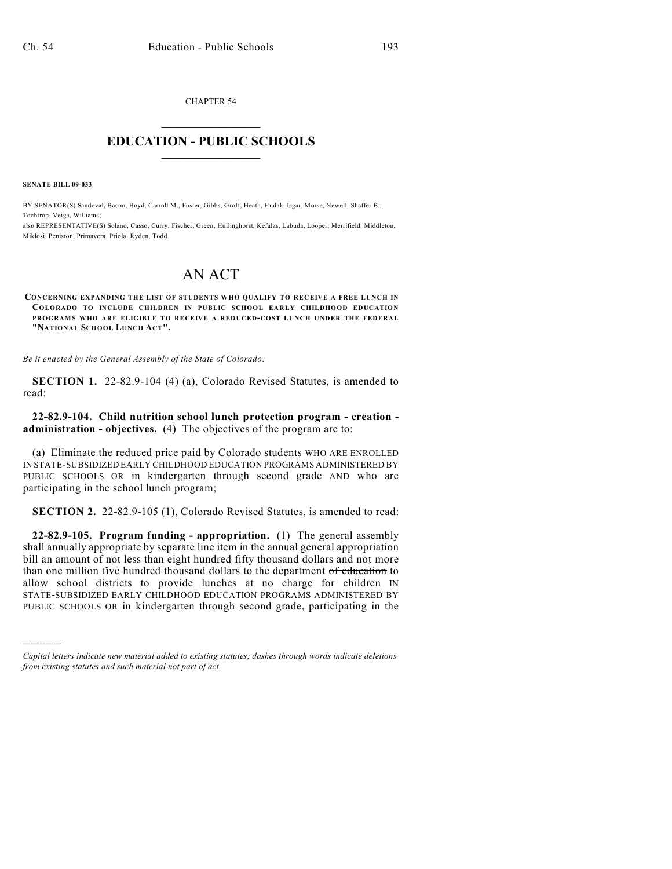CHAPTER 54  $\mathcal{L}_\text{max}$  . The set of the set of the set of the set of the set of the set of the set of the set of the set of the set of the set of the set of the set of the set of the set of the set of the set of the set of the set

## **EDUCATION - PUBLIC SCHOOLS**  $\_$   $\_$   $\_$   $\_$   $\_$   $\_$   $\_$   $\_$   $\_$

**SENATE BILL 09-033**

)))))

BY SENATOR(S) Sandoval, Bacon, Boyd, Carroll M., Foster, Gibbs, Groff, Heath, Hudak, Isgar, Morse, Newell, Shaffer B., Tochtrop, Veiga, Williams;

also REPRESENTATIVE(S) Solano, Casso, Curry, Fischer, Green, Hullinghorst, Kefalas, Labuda, Looper, Merrifield, Middleton, Miklosi, Peniston, Primavera, Priola, Ryden, Todd.

## AN ACT

**CONCERNING EXPANDING THE LIST OF STUDENTS WHO QUALIFY TO RECEIVE A FREE LUNCH IN COLORADO TO INCLUDE CHILDREN IN PUBLIC SCHOOL EARLY CHILDHOOD EDUCATION PROGRAMS WHO ARE ELIGIBLE TO RECEIVE A REDUCED-COST LUNCH UNDER THE FEDERAL "NATIONAL SCHOOL LUNCH ACT".**

*Be it enacted by the General Assembly of the State of Colorado:*

**SECTION 1.** 22-82.9-104 (4) (a), Colorado Revised Statutes, is amended to read:

## **22-82.9-104. Child nutrition school lunch protection program - creation administration - objectives.** (4) The objectives of the program are to:

(a) Eliminate the reduced price paid by Colorado students WHO ARE ENROLLED IN STATE-SUBSIDIZED EARLY CHILDHOOD EDUCATION PROGRAMS ADMINISTERED BY PUBLIC SCHOOLS OR in kindergarten through second grade AND who are participating in the school lunch program;

**SECTION 2.** 22-82.9-105 (1), Colorado Revised Statutes, is amended to read:

**22-82.9-105. Program funding - appropriation.** (1) The general assembly shall annually appropriate by separate line item in the annual general appropriation bill an amount of not less than eight hundred fifty thousand dollars and not more than one million five hundred thousand dollars to the department of education to allow school districts to provide lunches at no charge for children IN STATE-SUBSIDIZED EARLY CHILDHOOD EDUCATION PROGRAMS ADMINISTERED BY PUBLIC SCHOOLS OR in kindergarten through second grade, participating in the

*Capital letters indicate new material added to existing statutes; dashes through words indicate deletions from existing statutes and such material not part of act.*